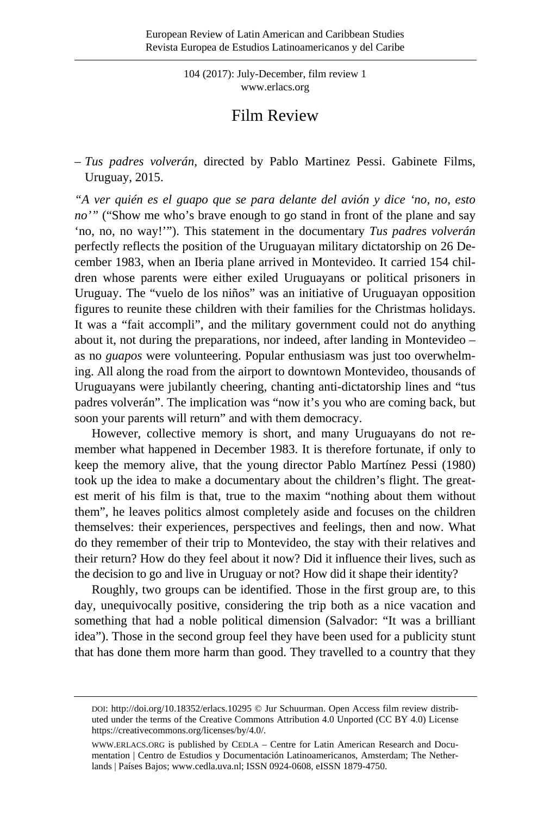104 (2017): July-December, film review 1 [www.erlacs.org](http://www.erlacs.org/)

## Film Review

– *Tus padres volverán*, directed by Pablo Martinez Pessi. Gabinete Films, Uruguay, 2015.

*"A ver quién es el guapo que se para delante del avión y dice 'no, no, esto*  no'" ("Show me who's brave enough to go stand in front of the plane and say 'no, no, no way!'"). This statement in the documentary *Tus padres volverán* perfectly reflects the position of the Uruguayan military dictatorship on 26 December 1983, when an Iberia plane arrived in Montevideo. It carried 154 children whose parents were either exiled Uruguayans or political prisoners in Uruguay. The "vuelo de los niños" was an initiative of Uruguayan opposition figures to reunite these children with their families for the Christmas holidays. It was a "fait accompli", and the military government could not do anything about it, not during the preparations, nor indeed, after landing in Montevideo – as no *guapos* were volunteering. Popular enthusiasm was just too overwhelming. All along the road from the airport to downtown Montevideo, thousands of Uruguayans were jubilantly cheering, chanting anti-dictatorship lines and "tus padres volverán". The implication was "now it's you who are coming back, but soon your parents will return" and with them democracy.

However, collective memory is short, and many Uruguayans do not remember what happened in December 1983. It is therefore fortunate, if only to keep the memory alive, that the young director Pablo Martínez Pessi (1980) took up the idea to make a documentary about the children's flight. The greatest merit of his film is that, true to the maxim "nothing about them without them", he leaves politics almost completely aside and focuses on the children themselves: their experiences, perspectives and feelings, then and now. What do they remember of their trip to Montevideo, the stay with their relatives and their return? How do they feel about it now? Did it influence their lives, such as the decision to go and live in Uruguay or not? How did it shape their identity?

Roughly, two groups can be identified. Those in the first group are, to this day, unequivocally positive, considering the trip both as a nice vacation and something that had a noble political dimension (Salvador: "It was a brilliant idea"). Those in the second group feel they have been used for a publicity stunt that has done them more harm than good. They travelled to a country that they

DOI:<http://doi.org/10.18352/erlacs.10295> © Jur Schuurman. Open Access film review distributed under the terms of the Creative Commons Attribution 4.0 Unported (CC BY 4.0) License [https://creativecommons.org/licenses/by/4.0/.](https://creativecommons.org/licenses/by/4.0/)

[WWW.ERLACS.ORG](http://www.erlacs.org/) is published by CEDLA – Centre for Latin American Research and Documentation | Centro de Estudios y Documentación Latinoamericanos, Amsterdam; The Netherlands | Países Bajos[; www.cedla.uva.nl;](http://www.cedla.uva.nl/) ISSN 0924-0608, eISSN 1879-4750.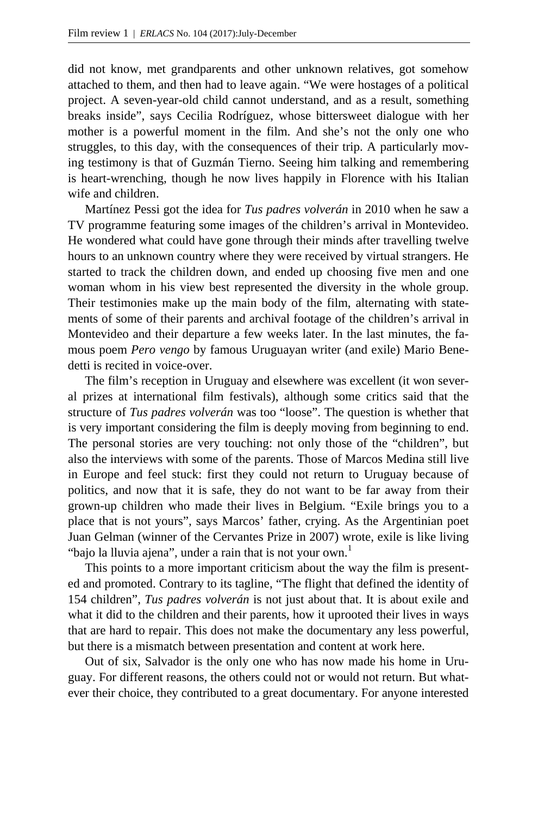did not know, met grandparents and other unknown relatives, got somehow attached to them, and then had to leave again. "We were hostages of a political project. A seven-year-old child cannot understand, and as a result, something breaks inside", says Cecilia Rodríguez, whose bittersweet dialogue with her mother is a powerful moment in the film. And she's not the only one who struggles, to this day, with the consequences of their trip. A particularly moving testimony is that of Guzmán Tierno. Seeing him talking and remembering is heart-wrenching, though he now lives happily in Florence with his Italian wife and children.

Martínez Pessi got the idea for *Tus padres volverán* in 2010 when he saw a TV programme featuring some images of the children's arrival in Montevideo. He wondered what could have gone through their minds after travelling twelve hours to an unknown country where they were received by virtual strangers. He started to track the children down, and ended up choosing five men and one woman whom in his view best represented the diversity in the whole group. Their testimonies make up the main body of the film, alternating with statements of some of their parents and archival footage of the children's arrival in Montevideo and their departure a few weeks later. In the last minutes, the famous poem *Pero vengo* by famous Uruguayan writer (and exile) Mario Benedetti is recited in voice-over.

The film's reception in Uruguay and elsewhere was excellent (it won several prizes at international film festivals), although some critics said that the structure of *Tus padres volverán* was too "loose". The question is whether that is very important considering the film is deeply moving from beginning to end. The personal stories are very touching: not only those of the "children", but also the interviews with some of the parents. Those of Marcos Medina still live in Europe and feel stuck: first they could not return to Uruguay because of politics, and now that it is safe, they do not want to be far away from their grown-up children who made their lives in Belgium. "Exile brings you to a place that is not yours", says Marcos' father, crying. As the Argentinian poet Juan Gelman (winner of the Cervantes Prize in 2007) wrote, exile is like living "bajo la lluvia ajena", under a rain that is not your own.<sup>1</sup>

This points to a more important criticism about the way the film is presented and promoted. Contrary to its tagline, "The flight that defined the identity of 154 children", *Tus padres volverán* is not just about that. It is about exile and what it did to the children and their parents, how it uprooted their lives in ways that are hard to repair. This does not make the documentary any less powerful, but there is a mismatch between presentation and content at work here.

Out of six, Salvador is the only one who has now made his home in Uruguay. For different reasons, the others could not or would not return. But whatever their choice, they contributed to a great documentary. For anyone interested